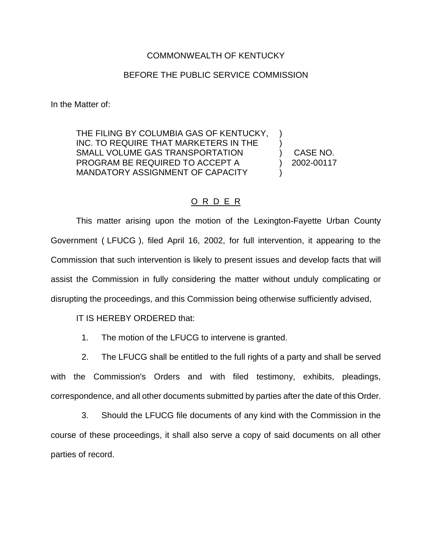## COMMONWEALTH OF KENTUCKY

## BEFORE THE PUBLIC SERVICE COMMISSION

In the Matter of:

THE FILING BY COLUMBIA GAS OF KENTUCKY, ) INC. TO REQUIRE THAT MARKETERS IN THE  $\qquad)$ SMALL VOLUME GAS TRANSPORTATION (CASE NO. PROGRAM BE REQUIRED TO ACCEPT A (2002-00117 MANDATORY ASSIGNMENT OF CAPACITY

## O R D E R

This matter arising upon the motion of the Lexington-Fayette Urban County Government ( LFUCG ), filed April 16, 2002, for full intervention, it appearing to the Commission that such intervention is likely to present issues and develop facts that will assist the Commission in fully considering the matter without unduly complicating or disrupting the proceedings, and this Commission being otherwise sufficiently advised,

IT IS HEREBY ORDERED that:

1. The motion of the LFUCG to intervene is granted.

2. The LFUCG shall be entitled to the full rights of a party and shall be served with the Commission's Orders and with filed testimony, exhibits, pleadings, correspondence, and all other documents submitted by parties after the date of this Order.

3. Should the LFUCG file documents of any kind with the Commission in the course of these proceedings, it shall also serve a copy of said documents on all other parties of record.